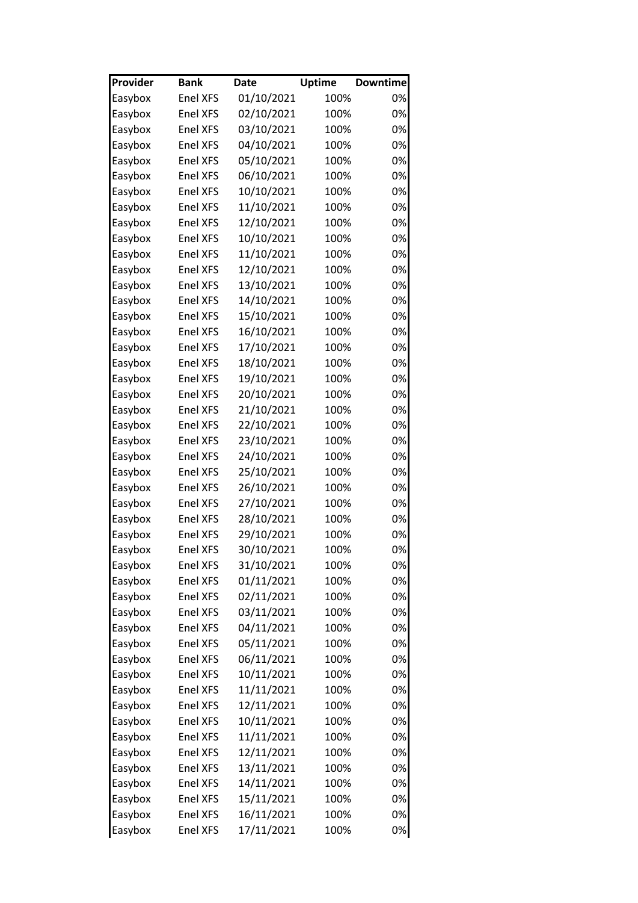| Provider | <b>Bank</b>     | Date       | <b>Uptime</b> | <b>Downtime</b> |
|----------|-----------------|------------|---------------|-----------------|
| Easybox  | <b>Enel XFS</b> | 01/10/2021 | 100%          | 0%              |
| Easybox  | <b>Enel XFS</b> | 02/10/2021 | 100%          | 0%              |
| Easybox  | <b>Enel XFS</b> | 03/10/2021 | 100%          | 0%              |
| Easybox  | <b>Enel XFS</b> | 04/10/2021 | 100%          | 0%              |
| Easybox  | <b>Enel XFS</b> | 05/10/2021 | 100%          | 0%              |
| Easybox  | <b>Enel XFS</b> | 06/10/2021 | 100%          | 0%              |
| Easybox  | <b>Enel XFS</b> | 10/10/2021 | 100%          | 0%              |
| Easybox  | <b>Enel XFS</b> | 11/10/2021 | 100%          | 0%              |
| Easybox  | <b>Enel XFS</b> | 12/10/2021 | 100%          | 0%              |
| Easybox  | <b>Enel XFS</b> | 10/10/2021 | 100%          | 0%              |
| Easybox  | <b>Enel XFS</b> | 11/10/2021 | 100%          | 0%              |
| Easybox  | <b>Enel XFS</b> | 12/10/2021 | 100%          | 0%              |
| Easybox  | <b>Enel XFS</b> | 13/10/2021 | 100%          | 0%              |
| Easybox  | <b>Enel XFS</b> | 14/10/2021 | 100%          | 0%              |
| Easybox  | <b>Enel XFS</b> | 15/10/2021 | 100%          | 0%              |
| Easybox  | <b>Enel XFS</b> | 16/10/2021 | 100%          | 0%              |
| Easybox  | <b>Enel XFS</b> | 17/10/2021 | 100%          | 0%              |
| Easybox  | <b>Enel XFS</b> | 18/10/2021 | 100%          | 0%              |
| Easybox  | <b>Enel XFS</b> | 19/10/2021 | 100%          | 0%              |
| Easybox  | <b>Enel XFS</b> | 20/10/2021 | 100%          | 0%              |
| Easybox  | <b>Enel XFS</b> | 21/10/2021 | 100%          | 0%              |
| Easybox  | <b>Enel XFS</b> | 22/10/2021 | 100%          | 0%              |
| Easybox  | <b>Enel XFS</b> | 23/10/2021 | 100%          | 0%              |
| Easybox  | <b>Enel XFS</b> | 24/10/2021 | 100%          | 0%              |
| Easybox  | <b>Enel XFS</b> | 25/10/2021 | 100%          | 0%              |
| Easybox  | <b>Enel XFS</b> | 26/10/2021 | 100%          | 0%              |
| Easybox  | <b>Enel XFS</b> | 27/10/2021 | 100%          | 0%              |
| Easybox  | <b>Enel XFS</b> | 28/10/2021 | 100%          | 0%              |
| Easybox  | <b>Enel XFS</b> | 29/10/2021 | 100%          | 0%              |
| Easybox  | <b>Enel XFS</b> | 30/10/2021 | 100%          | 0%              |
| Easybox  | <b>Enel XFS</b> | 31/10/2021 | 100%          | 0%              |
| Easybox  | <b>Enel XFS</b> | 01/11/2021 | 100%          | 0%              |
| Easybox  | <b>Enel XFS</b> | 02/11/2021 | 100%          | 0%              |
| Easybox  | <b>Enel XFS</b> | 03/11/2021 | 100%          | 0%              |
| Easybox  | <b>Enel XFS</b> | 04/11/2021 | 100%          | 0%              |
| Easybox  | <b>Enel XFS</b> | 05/11/2021 | 100%          | 0%              |
| Easybox  | <b>Enel XFS</b> | 06/11/2021 | 100%          | 0%              |
| Easybox  | <b>Enel XFS</b> | 10/11/2021 | 100%          | 0%              |
| Easybox  | <b>Enel XFS</b> | 11/11/2021 | 100%          | 0%              |
| Easybox  | <b>Enel XFS</b> | 12/11/2021 | 100%          | 0%              |
| Easybox  | <b>Enel XFS</b> | 10/11/2021 | 100%          | 0%              |
| Easybox  | Enel XFS        | 11/11/2021 | 100%          | 0%              |
| Easybox  | <b>Enel XFS</b> | 12/11/2021 | 100%          | 0%              |
| Easybox  | <b>Enel XFS</b> | 13/11/2021 | 100%          | 0%              |
| Easybox  | Enel XFS        | 14/11/2021 | 100%          | 0%              |
| Easybox  | <b>Enel XFS</b> | 15/11/2021 | 100%          | 0%              |
| Easybox  | <b>Enel XFS</b> | 16/11/2021 | 100%          | 0%              |
| Easybox  | <b>Enel XFS</b> | 17/11/2021 | 100%          | 0%              |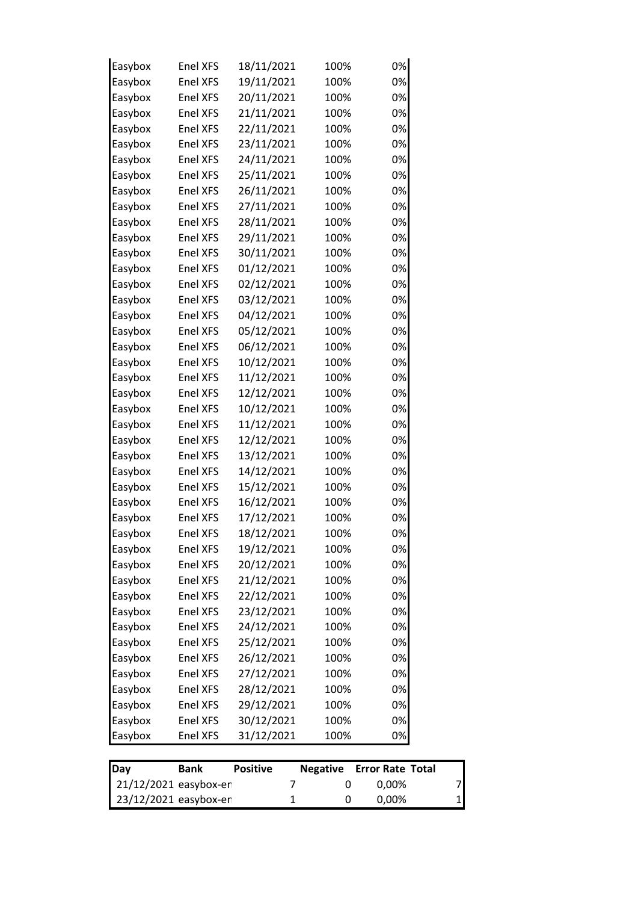| 23/12/2021 easybox-en        |                 | 1                    | 0                    | 0,00%                            | 1 |
|------------------------------|-----------------|----------------------|----------------------|----------------------------------|---|
| Day<br>21/12/2021 easybox-en | <b>Bank</b>     | <b>Positive</b><br>7 | <b>Negative</b><br>0 | <b>Error Rate Total</b><br>0,00% | 7 |
|                              |                 |                      |                      |                                  |   |
| Easybox                      | Enel XFS        | 31/12/2021           | 100%                 | 0%                               |   |
| Easybox                      | Enel XFS        | 30/12/2021           | 100%                 | 0%                               |   |
| Easybox                      | Enel XFS        | 29/12/2021           | 100%                 | 0%                               |   |
| Easybox                      | <b>Enel XFS</b> | 28/12/2021           | 100%                 | 0%                               |   |
| Easybox                      | Enel XFS        | 27/12/2021           | 100%                 | 0%                               |   |
| Easybox                      | Enel XFS        | 26/12/2021           | 100%                 | 0%                               |   |
| Easybox                      | Enel XFS        | 25/12/2021           | 100%                 | 0%                               |   |
| Easybox                      | Enel XFS        | 24/12/2021           | 100%                 | 0%                               |   |
| Easybox                      | Enel XFS        | 23/12/2021           | 100%                 | 0%                               |   |
| Easybox                      | Enel XFS        | 22/12/2021           | 100%                 | 0%                               |   |
| Easybox                      | <b>Enel XFS</b> | 21/12/2021           | 100%                 | 0%                               |   |
| Easybox                      | Enel XFS        | 20/12/2021           | 100%                 | 0%                               |   |
| Easybox                      | <b>Enel XFS</b> | 19/12/2021           | 100%                 | 0%                               |   |
| Easybox                      | <b>Enel XFS</b> | 18/12/2021           | 100%                 | 0%                               |   |
| Easybox                      | Enel XFS        | 17/12/2021           | 100%                 | 0%                               |   |
| Easybox                      | Enel XFS        | 16/12/2021           | 100%                 | 0%                               |   |
| Easybox                      | Enel XFS        | 15/12/2021           | 100%                 | 0%                               |   |
| Easybox                      | Enel XFS        | 14/12/2021           | 100%                 | 0%                               |   |
| Easybox                      | Enel XFS        | 13/12/2021           | 100%                 | 0%                               |   |
| Easybox                      | Enel XFS        | 12/12/2021           | 100%                 | 0%                               |   |
| Easybox                      | Enel XFS        | 11/12/2021           | 100%                 | 0%                               |   |
| Easybox                      | Enel XFS        | 10/12/2021           | 100%                 | 0%                               |   |
| Easybox                      | Enel XFS        | 12/12/2021           | 100%                 | 0%                               |   |
| Easybox                      | Enel XFS        | 11/12/2021           | 100%                 | 0%                               |   |
| Easybox                      | Enel XFS        | 10/12/2021           | 100%                 | 0%                               |   |
| Easybox                      | Enel XFS        | 06/12/2021           | 100%                 | 0%                               |   |
| Easybox                      | Enel XFS        | 05/12/2021           | 100%                 | 0%                               |   |
| Easybox                      | Enel XFS        | 04/12/2021           | 100%                 | 0%                               |   |
| Easybox                      | Enel XFS        | 03/12/2021           | 100%                 | 0%                               |   |
| Easybox                      | Enel XFS        | 02/12/2021           | 100%                 | 0%                               |   |
| Easybox                      | Enel XFS        | 01/12/2021           | 100%                 | 0%                               |   |
| Easybox                      | Enel XFS        | 30/11/2021           | 100%                 | 0%                               |   |
| Easybox                      | Enel XFS        | 29/11/2021           | 100%                 | 0%                               |   |
| Easybox                      | Enel XFS        | 28/11/2021           | 100%                 | 0%                               |   |
| Easybox                      | <b>Enel XFS</b> | 27/11/2021           | 100%                 | 0%                               |   |
| Easybox                      | Enel XFS        | 26/11/2021           | 100%                 | 0%                               |   |
| Easybox                      | Enel XFS        | 25/11/2021           | 100%                 | 0%                               |   |
| Easybox                      | Enel XFS        | 24/11/2021           | 100%                 | 0%                               |   |
| Easybox                      | Enel XFS        | 23/11/2021           | 100%                 | 0%                               |   |
| Easybox                      | Enel XFS        | 22/11/2021           | 100%                 | 0%                               |   |
| Easybox                      | <b>Enel XFS</b> | 21/11/2021           | 100%                 | 0%                               |   |
| Easybox                      | <b>Enel XFS</b> | 20/11/2021           | 100%                 | 0%                               |   |
| Easybox                      | Enel XFS        | 19/11/2021           | 100%                 | 0%                               |   |
| Easybox                      | Enel XFS        | 18/11/2021           | 100%                 | 0%                               |   |
|                              |                 |                      |                      |                                  |   |